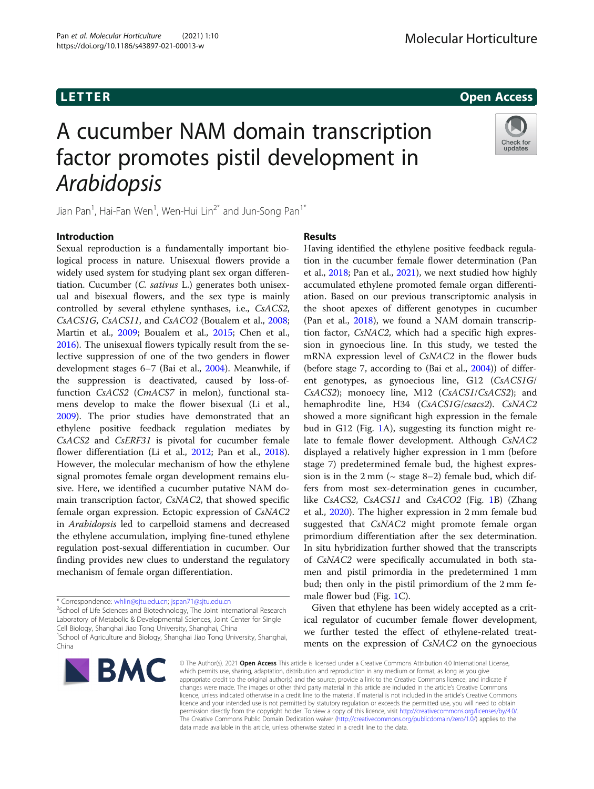# **LETTER** Open Access (2009) 2014 12:30 AM 2014 2014 2015 2016 2017 2018 2019 2014

# A cucumber NAM domain transcription factor promotes pistil development in Arabidopsis



Jian Pan $^1$ , Hai-Fan Wen $^1$ , Wen-Hui Lin $^{2^\ast}$  and Jun-Song Pan $^{1^\ast}$ 

# Introduction

Sexual reproduction is a fundamentally important biological process in nature. Unisexual flowers provide a widely used system for studying plant sex organ differentiation. Cucumber (C. sativus L.) generates both unisexual and bisexual flowers, and the sex type is mainly controlled by several ethylene synthases, i.e., CsACS2, CsACS1G, CsACS11, and CsACO2 (Boualem et al., [2008](#page-3-0); Martin et al., [2009;](#page-4-0) Boualem et al., [2015](#page-3-0); Chen et al., [2016](#page-3-0)). The unisexual flowers typically result from the selective suppression of one of the two genders in flower development stages 6–7 (Bai et al., [2004](#page-3-0)). Meanwhile, if the suppression is deactivated, caused by loss-offunction CsACS2 (CmACS7 in melon), functional stamens develop to make the flower bisexual (Li et al., [2009](#page-3-0)). The prior studies have demonstrated that an ethylene positive feedback regulation mediates by CsACS2 and CsERF31 is pivotal for cucumber female flower differentiation (Li et al., [2012;](#page-3-0) Pan et al., [2018](#page-4-0)). However, the molecular mechanism of how the ethylene signal promotes female organ development remains elusive. Here, we identified a cucumber putative NAM domain transcription factor, CsNAC2, that showed specific female organ expression. Ectopic expression of CsNAC2 in Arabidopsis led to carpelloid stamens and decreased the ethylene accumulation, implying fine-tuned ethylene regulation post-sexual differentiation in cucumber. Our finding provides new clues to understand the regulatory mechanism of female organ differentiation.

<sup>2</sup>School of Life Sciences and Biotechnology, The Joint International Research Laboratory of Metabolic & Developmental Sciences, Joint Center for Single Cell Biology, Shanghai Jiao Tong University, Shanghai, China

<sup>1</sup>School of Agriculture and Biology, Shanghai Jiao Tong University, Shanghai, China



# Results

Having identified the ethylene positive feedback regulation in the cucumber female flower determination (Pan et al., [2018](#page-4-0); Pan et al., [2021](#page-4-0)), we next studied how highly accumulated ethylene promoted female organ differentiation. Based on our previous transcriptomic analysis in the shoot apexes of different genotypes in cucumber (Pan et al., [2018](#page-4-0)), we found a NAM domain transcription factor, CsNAC2, which had a specific high expression in gynoecious line. In this study, we tested the mRNA expression level of CsNAC2 in the flower buds (before stage 7, according to (Bai et al., [2004\)](#page-3-0)) of different genotypes, as gynoecious line, G12 (CsACS1G/ CsACS2); monoecy line, M12 (CsACS1/CsACS2); and hemaphrodite line, H34 (CsACS1G/csacs2). CsNAC2 showed a more significant high expression in the female bud in G12 (Fig. [1](#page-2-0)A), suggesting its function might relate to female flower development. Although CsNAC2 displayed a relatively higher expression in 1 mm (before stage 7) predetermined female bud, the highest expression is in the  $2 \text{ mm}$  ( $\sim$  stage 8–2) female bud, which differs from most sex-determination genes in cucumber, like CsACS2, CsACS11 and CsACO2 (Fig. [1](#page-2-0)B) (Zhang et al., [2020](#page-4-0)). The higher expression in 2 mm female bud suggested that CsNAC2 might promote female organ primordium differentiation after the sex determination. In situ hybridization further showed that the transcripts of CsNAC2 were specifically accumulated in both stamen and pistil primordia in the predetermined 1 mm bud; then only in the pistil primordium of the 2 mm female flower bud (Fig. [1C](#page-2-0)).

Given that ethylene has been widely accepted as a critical regulator of cucumber female flower development, we further tested the effect of ethylene-related treatments on the expression of CsNAC2 on the gynoecious

© The Author(s), 2021 **Open Access** This article is licensed under a Creative Commons Attribution 4.0 International License, which permits use, sharing, adaptation, distribution and reproduction in any medium or format, as long as you give appropriate credit to the original author(s) and the source, provide a link to the Creative Commons licence, and indicate if changes were made. The images or other third party material in this article are included in the article's Creative Commons licence, unless indicated otherwise in a credit line to the material. If material is not included in the article's Creative Commons licence and your intended use is not permitted by statutory regulation or exceeds the permitted use, you will need to obtain permission directly from the copyright holder. To view a copy of this licence, visit [http://creativecommons.org/licenses/by/4.0/.](http://creativecommons.org/licenses/by/4.0/) The Creative Commons Public Domain Dedication waiver [\(http://creativecommons.org/publicdomain/zero/1.0/](http://creativecommons.org/publicdomain/zero/1.0/)) applies to the data made available in this article, unless otherwise stated in a credit line to the data.

<sup>\*</sup> Correspondence: [whlin@sjtu.edu.cn](mailto:whlin@sjtu.edu.cn); [jspan71@sjtu.edu.cn](mailto:jspan71@sjtu.edu.cn) <sup>2</sup>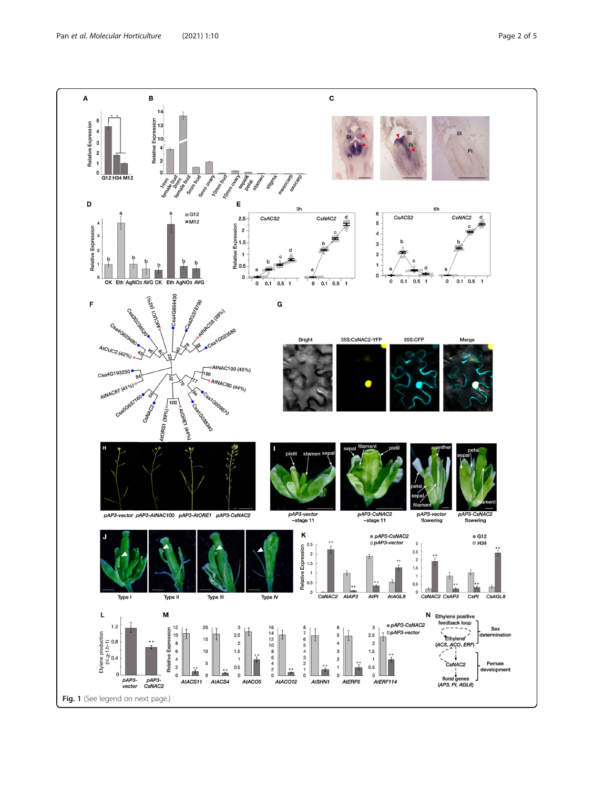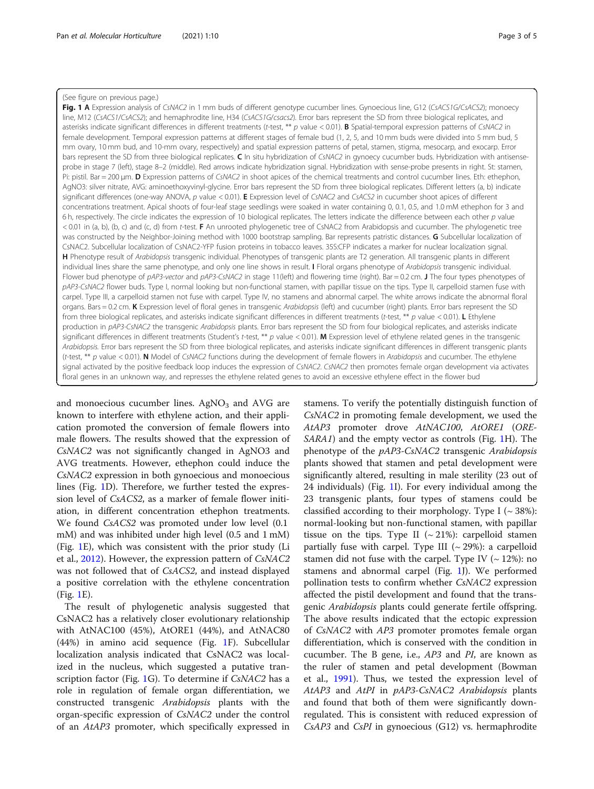#### <span id="page-2-0"></span>(See figure on previous page.)

Fig. 1 A Expression analysis of CsNAC2 in 1 mm buds of different genotype cucumber lines. Gynoecious line, G12 (CsACS1G/CsACS2); monoecy line, M12 (CsACS1/CsACS2); and hemaphrodite line, H34 (CsACS1G/csacs2). Error bars represent the SD from three biological replicates, and asterisks indicate significant differences in different treatments (t-test, \*\*  $p$  value < 0.01). **B** Spatial-temporal expression patterns of CsNAC2 in female development. Temporal expression patterns at different stages of female bud (1, 2, 5, and 10 mm buds were divided into 5 mm bud, 5 mm ovary, 10 mm bud, and 10-mm ovary, respectively) and spatial expression patterns of petal, stamen, stigma, mesocarp, and exocarp. Error bars represent the SD from three biological replicates. C In situ hybridization of CsNAC2 in gynoecy cucumber buds. Hybridization with antisenseprobe in stage 7 (left), stage 8–2 (middle). Red arrows indicate hybridization signal. Hybridization with sense-probe presents in right. St: stamen, Pi: pistil. Bar = 200 µm. D Expression patterns of CsNAC2 in shoot apices of the chemical treatments and control cucumber lines. Eth: ethephon, AgNO3: silver nitrate, AVG: aminoethoxyvinyl-glycine. Error bars represent the SD from three biological replicates. Different letters (a, b) indicate significant differences (one-way ANOVA, p value < 0.01). E Expression level of CsNAC2 and CsACS2 in cucumber shoot apices of different concentrations treatment. Apical shoots of four-leaf stage seedlings were soaked in water containing 0, 0.1, 0.5, and 1.0 mM ethephon for 3 and 6 h, respectively. The circle indicates the expression of 10 biological replicates. The letters indicate the difference between each other p value < 0.01 in (a, b), (b, c) and (c, d) from t-test. F An unrooted phylogenetic tree of CsNAC2 from Arabidopsis and cucumber. The phylogenetic tree was constructed by the Neighbor-Joining method with 1000 bootstrap sampling. Bar represents patristic distances. G Subcellular localization of CsNAC2. Subcellular localization of CsNAC2-YFP fusion proteins in tobacco leaves. 35S:CFP indicates a marker for nuclear localization signal. H Phenotype result of Arabidopsis transgenic individual. Phenotypes of transgenic plants are T2 generation. All transgenic plants in different individual lines share the same phenotype, and only one line shows in result. I Floral organs phenotype of Arabidopsis transgenic individual. Flower bud phenotype of pAP3-vector and pAP3-CsNAC2 in stage 11(left) and flowering time (right). Bar = 0.2 cm. J The four types phenotypes of pAP3-CsNAC2 flower buds. Type I, normal looking but non-functional stamen, with papillar tissue on the tips. Type II, carpelloid stamen fuse with carpel. Type III, a carpelloid stamen not fuse with carpel. Type IV, no stamens and abnormal carpel. The white arrows indicate the abnormal floral organs. Bars = 0.2 cm. K Expression level of floral genes in transgenic Arabidopsis (left) and cucumber (right) plants. Error bars represent the SD from three biological replicates, and asterisks indicate significant differences in different treatments (t-test, \*\* p value < 0.01). L Ethylene production in pAP3-CsNAC2 the transgenic Arabidopsis plants. Error bars represent the SD from four biological replicates, and asterisks indicate significant differences in different treatments (Student's t-test, \*\*  $p$  value < 0.01). M Expression level of ethylene related genes in the transgenic Arabidopsis. Error bars represent the SD from three biological replicates, and asterisks indicate significant differences in different transgenic plants (t-test, \*\* p value < 0.01). N Model of CsNAC2 functions during the development of female flowers in Arabidopsis and cucumber. The ethylene signal activated by the positive feedback loop induces the expression of CsNAC2. CsNAC2 then promotes female organ development via activates floral genes in an unknown way, and represses the ethylene related genes to avoid an excessive ethylene effect in the flower bud

and monoecious cucumber lines.  $AgNO<sub>3</sub>$  and AVG are known to interfere with ethylene action, and their application promoted the conversion of female flowers into male flowers. The results showed that the expression of CsNAC2 was not significantly changed in AgNO3 and AVG treatments. However, ethephon could induce the CsNAC2 expression in both gynoecious and monoecious lines (Fig. 1D). Therefore, we further tested the expression level of CsACS2, as a marker of female flower initiation, in different concentration ethephon treatments. We found CsACS2 was promoted under low level (0.1 mM) and was inhibited under high level (0.5 and 1 mM) (Fig. 1E), which was consistent with the prior study (Li et al., [2012\)](#page-3-0). However, the expression pattern of CsNAC2 was not followed that of CsACS2, and instead displayed a positive correlation with the ethylene concentration (Fig. 1E).

The result of phylogenetic analysis suggested that CsNAC2 has a relatively closer evolutionary relationship with AtNAC100 (45%), AtORE1 (44%), and AtNAC80 (44%) in amino acid sequence (Fig. 1F). Subcellular localization analysis indicated that CsNAC2 was localized in the nucleus, which suggested a putative transcription factor (Fig. 1G). To determine if CsNAC2 has a role in regulation of female organ differentiation, we constructed transgenic Arabidopsis plants with the organ-specific expression of CsNAC2 under the control of an AtAP3 promoter, which specifically expressed in

stamens. To verify the potentially distinguish function of CsNAC2 in promoting female development, we used the AtAP3 promoter drove AtNAC100, AtORE1 (ORE-SARA1) and the empty vector as controls (Fig. 1H). The phenotype of the pAP3-CsNAC2 transgenic Arabidopsis plants showed that stamen and petal development were significantly altered, resulting in male sterility (23 out of 24 individuals) (Fig. 1I). For every individual among the 23 transgenic plants, four types of stamens could be classified according to their morphology. Type I  $({\sim}38\%)$ : normal-looking but non-functional stamen, with papillar tissue on the tips. Type II  $({\sim}21\%)$ : carpelloid stamen partially fuse with carpel. Type III  $({\sim} 29\%)$ : a carpelloid stamen did not fuse with the carpel. Type IV  $($   $\sim$  12%): no stamens and abnormal carpel (Fig. 1J). We performed pollination tests to confirm whether CsNAC2 expression affected the pistil development and found that the transgenic *Arabidopsis* plants could generate fertile offspring. The above results indicated that the ectopic expression of CsNAC2 with AP3 promoter promotes female organ differentiation, which is conserved with the condition in cucumber. The B gene, i.e., AP3 and PI, are known as the ruler of stamen and petal development (Bowman et al., [1991](#page-3-0)). Thus, we tested the expression level of AtAP3 and AtPI in pAP3-CsNAC2 Arabidopsis plants and found that both of them were significantly downregulated. This is consistent with reduced expression of CsAP3 and CsPI in gynoecious (G12) vs. hermaphrodite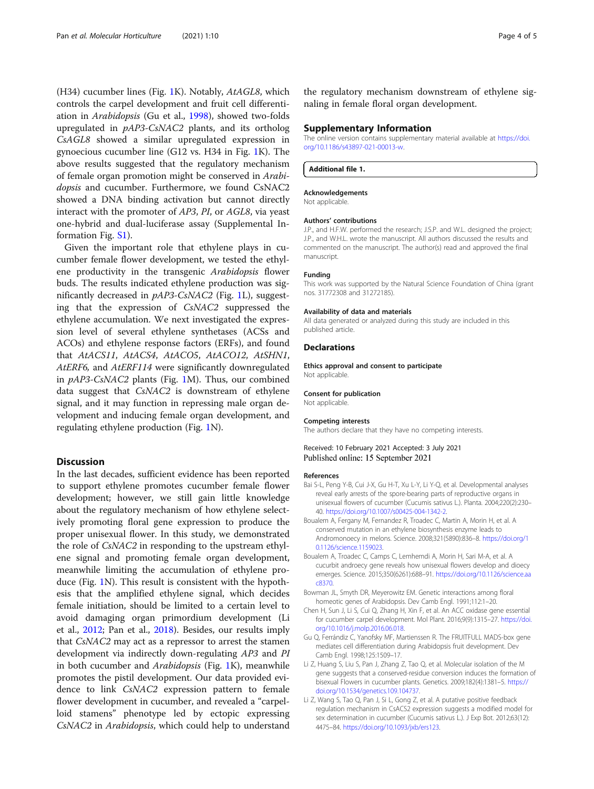<span id="page-3-0"></span>(H34) cucumber lines (Fig. [1K](#page-2-0)). Notably, AtAGL8, which controls the carpel development and fruit cell differentiation in Arabidopsis (Gu et al., 1998), showed two-folds upregulated in  $pAP3$ -CsNAC2 plants, and its ortholog CsAGL8 showed a similar upregulated expression in gynoecious cucumber line (G12 vs. H34 in Fig. [1](#page-2-0)K). The above results suggested that the regulatory mechanism of female organ promotion might be conserved in Arabidopsis and cucumber. Furthermore, we found CsNAC2 showed a DNA binding activation but cannot directly interact with the promoter of AP3, PI, or AGL8, via yeast one-hybrid and dual-luciferase assay (Supplemental Information Fig. S1).

Given the important role that ethylene plays in cucumber female flower development, we tested the ethylene productivity in the transgenic Arabidopsis flower buds. The results indicated ethylene production was significantly decreased in pAP3-CsNAC2 (Fig. [1L](#page-2-0)), suggesting that the expression of CsNAC2 suppressed the ethylene accumulation. We next investigated the expression level of several ethylene synthetases (ACSs and ACOs) and ethylene response factors (ERFs), and found that AtACS11, AtACS4, AtACO5, AtACO12, AtSHN1, AtERF6, and AtERF114 were significantly downregulated in pAP3-CsNAC2 plants (Fig. [1](#page-2-0)M). Thus, our combined data suggest that CsNAC2 is downstream of ethylene signal, and it may function in repressing male organ development and inducing female organ development, and regulating ethylene production (Fig. [1](#page-2-0)N).

## **Discussion**

In the last decades, sufficient evidence has been reported to support ethylene promotes cucumber female flower development; however, we still gain little knowledge about the regulatory mechanism of how ethylene selectively promoting floral gene expression to produce the proper unisexual flower. In this study, we demonstrated the role of CsNAC2 in responding to the upstream ethylene signal and promoting female organ development, meanwhile limiting the accumulation of ethylene produce (Fig. [1N](#page-2-0)). This result is consistent with the hypothesis that the amplified ethylene signal, which decides female initiation, should be limited to a certain level to avoid damaging organ primordium development (Li et al., 2012; Pan et al., [2018](#page-4-0)). Besides, our results imply that CsNAC2 may act as a repressor to arrest the stamen development via indirectly down-regulating AP3 and PI in both cucumber and Arabidopsis (Fig. [1](#page-2-0)K), meanwhile promotes the pistil development. Our data provided evidence to link CsNAC2 expression pattern to female flower development in cucumber, and revealed a "carpelloid stamens" phenotype led by ectopic expressing CsNAC2 in Arabidopsis, which could help to understand the regulatory mechanism downstream of ethylene signaling in female floral organ development.

#### Supplementary Information

The online version contains supplementary material available at [https://doi.](https://doi.org/10.1186/s43897-021-00013-w) [org/10.1186/s43897-021-00013-w](https://doi.org/10.1186/s43897-021-00013-w).

#### Additional file 1.

#### Acknowledgements

Not applicable.

#### Authors' contributions

J.P., and H.F.W. performed the research; J.S.P. and W.L. designed the project; J.P., and W.H.L. wrote the manuscript. All authors discussed the results and commented on the manuscript. The author(s) read and approved the final manuscript.

#### Funding

This work was supported by the Natural Science Foundation of China (grant nos. 31772308 and 31272185).

#### Availability of data and materials

All data generated or analyzed during this study are included in this published article.

#### **Declarations**

Ethics approval and consent to participate Not applicable.

#### Consent for publication

Not applicable.

#### Competing interests

The authors declare that they have no competing interests.

#### Received: 10 February 2021 Accepted: 3 July 2021 Published online: 15 September 2021

#### References

- Bai S-L, Peng Y-B, Cui J-X, Gu H-T, Xu L-Y, Li Y-Q, et al. Developmental analyses reveal early arrests of the spore-bearing parts of reproductive organs in unisexual flowers of cucumber (Cucumis sativus L.). Planta. 2004;220(2):230– 40. <https://doi.org/10.1007/s00425-004-1342-2>.
- Boualem A, Fergany M, Fernandez R, Troadec C, Martin A, Morin H, et al. A conserved mutation in an ethylene biosynthesis enzyme leads to Andromonoecy in melons. Science. 2008;321(5890):836–8. [https://doi.org/1](https://doi.org/10.1126/science.1159023) [0.1126/science.1159023](https://doi.org/10.1126/science.1159023).
- Boualem A, Troadec C, Camps C, Lemhemdi A, Morin H, Sari M-A, et al. A cucurbit androecy gene reveals how unisexual flowers develop and dioecy emerges. Science. 2015;350(6261):688–91. [https://doi.org/10.1126/science.aa](https://doi.org/10.1126/science.aac8370) [c8370](https://doi.org/10.1126/science.aac8370).
- Bowman JL, Smyth DR, Meyerowitz EM. Genetic interactions among floral homeotic genes of Arabidopsis. Dev Camb Engl. 1991;112:1–20.
- Chen H, Sun J, Li S, Cui Q, Zhang H, Xin F, et al. An ACC oxidase gene essential for cucumber carpel development. Mol Plant. 2016;9(9):1315–27. [https://doi.](https://doi.org/10.1016/j.molp.2016.06.018) [org/10.1016/j.molp.2016.06.018.](https://doi.org/10.1016/j.molp.2016.06.018)
- Gu Q, Ferrándiz C, Yanofsky MF, Martienssen R. The FRUITFULL MADS-box gene mediates cell differentiation during Arabidopsis fruit development. Dev Camb Engl. 1998;125:1509–17.
- Li Z, Huang S, Liu S, Pan J, Zhang Z, Tao Q, et al. Molecular isolation of the M gene suggests that a conserved-residue conversion induces the formation of bisexual Flowers in cucumber plants. Genetics. 2009;182(4):1381–5. [https://](https://doi.org/10.1534/genetics.109.104737) [doi.org/10.1534/genetics.109.104737](https://doi.org/10.1534/genetics.109.104737).
- Li Z, Wang S, Tao Q, Pan J, Si L, Gong Z, et al. A putative positive feedback regulation mechanism in CsACS2 expression suggests a modified model for sex determination in cucumber (Cucumis sativus L.). J Exp Bot. 2012;63(12): 4475–84. <https://doi.org/10.1093/jxb/ers123>.